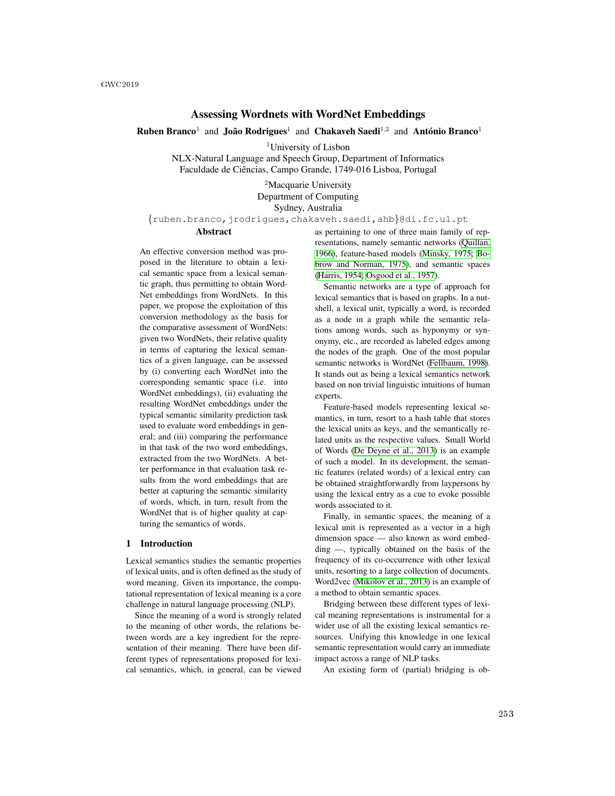# Assessing Wordnets with WordNet Embeddings

**Ruben Branco<sup>1</sup>** and João Rodrigues<sup>1</sup> and Chakaveh Saedi<sup>1,2</sup> and António Branco<sup>1</sup>

<sup>1</sup>University of Lisbon

NLX-Natural Language and Speech Group, Department of Informatics Faculdade de Ciências, Campo Grande, 1749-016 Lisboa, Portugal

> <sup>2</sup>Macquarie University Department of Computing Sydney, Australia

{ruben.branco,jrodrigues,chakaveh.saedi,ahb}@di.fc.ul.pt

# Abstract

An effective conversion method was proposed in the literature to obtain a lexical semantic space from a lexical semantic graph, thus permitting to obtain Word-Net embeddings from WordNets. In this paper, we propose the exploitation of this conversion methodology as the basis for the comparative assessment of WordNets: given two WordNets, their relative quality in terms of capturing the lexical semantics of a given language, can be assessed by (i) converting each WordNet into the corresponding semantic space (i.e. into WordNet embeddings), (ii) evaluating the resulting WordNet embeddings under the typical semantic similarity prediction task used to evaluate word embeddings in general; and (iii) comparing the performance in that task of the two word embeddings, extracted from the two WordNets. A better performance in that evaluation task results from the word embeddings that are better at capturing the semantic similarity of words, which, in turn, result from the WordNet that is of higher quality at capturing the semantics of words.

#### 1 Introduction

Lexical semantics studies the semantic properties of lexical units, and is often defined as the study of word meaning. Given its importance, the computational representation of lexical meaning is a core challenge in natural language processing (NLP).

Since the meaning of a word is strongly related to the meaning of other words, the relations between words are a key ingredient for the representation of their meaning. There have been different types of representations proposed for lexical semantics, which, in general, can be viewed as pertaining to one of three main family of representations, namely semantic networks (Quillan, 1966), feature-based models (Minsky, 1975; Bobrow and Norman, 1975), and semantic spaces (Harris, 1954; Osgood et al., 1957).

Semantic networks are a type of approach for lexical semantics that is based on graphs. In a nutshell, a lexical unit, typically a word, is recorded as a node in a graph while the semantic relations among words, such as hyponymy or synonymy, etc., are recorded as labeled edges among the nodes of the graph. One of the most popular semantic networks is WordNet (Fellbaum, 1998). It stands out as being a lexical semantics network based on non trivial linguistic intuitions of human experts.

Feature-based models representing lexical semantics, in turn, resort to a hash table that stores the lexical units as keys, and the semantically related units as the respective values. Small World of Words (De Deyne et al., 2013) is an example of such a model. In its development, the semantic features (related words) of a lexical entry can be obtained straightforwardly from laypersons by using the lexical entry as a cue to evoke possible words associated to it.

Finally, in semantic spaces, the meaning of a lexical unit is represented as a vector in a high dimension space — also known as word embedding —, typically obtained on the basis of the frequency of its co-occurrence with other lexical units, resorting to a large collection of documents. Word2vec (Mikolov et al., 2013) is an example of a method to obtain semantic spaces.

Bridging between these different types of lexical meaning representations is instrumental for a wider use of all the existing lexical semantics resources. Unifying this knowledge in one lexical semantic representation would carry an immediate impact across a range of NLP tasks.

An existing form of (partial) bridging is ob-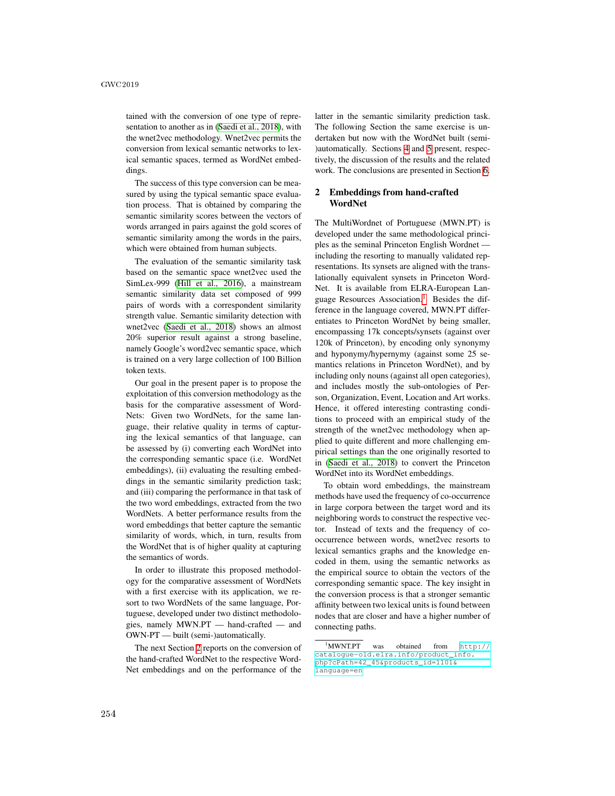tained with the conversion of one type of representation to another as in (Saedi et al., 2018), with the wnet2vec methodology. Wnet2vec permits the conversion from lexical semantic networks to lexical semantic spaces, termed as WordNet embeddings.

The success of this type conversion can be measured by using the typical semantic space evaluation process. That is obtained by comparing the semantic similarity scores between the vectors of words arranged in pairs against the gold scores of semantic similarity among the words in the pairs, which were obtained from human subjects.

The evaluation of the semantic similarity task based on the semantic space wnet2vec used the SimLex-999 (Hill et al., 2016), a mainstream semantic similarity data set composed of 999 pairs of words with a correspondent similarity strength value. Semantic similarity detection with wnet2vec (Saedi et al., 2018) shows an almost 20% superior result against a strong baseline, namely Google's word2vec semantic space, which is trained on a very large collection of 100 Billion token texts.

Our goal in the present paper is to propose the exploitation of this conversion methodology as the basis for the comparative assessment of Word-Nets: Given two WordNets, for the same language, their relative quality in terms of capturing the lexical semantics of that language, can be assessed by (i) converting each WordNet into the corresponding semantic space (i.e. WordNet embeddings), (ii) evaluating the resulting embeddings in the semantic similarity prediction task; and (iii) comparing the performance in that task of the two word embeddings, extracted from the two WordNets. A better performance results from the word embeddings that better capture the semantic similarity of words, which, in turn, results from the WordNet that is of higher quality at capturing the semantics of words.

In order to illustrate this proposed methodology for the comparative assessment of WordNets with a first exercise with its application, we resort to two WordNets of the same language, Portuguese, developed under two distinct methodologies, namely MWN.PT — hand-crafted — and OWN-PT — built (semi-)automatically.

The next Section  $2$  reports on the conversion of the hand-crafted WordNet to the respective Word-Net embeddings and on the performance of the

latter in the semantic similarity prediction task. The following Section the same exercise is undertaken but now with the WordNet built (semi- )automatically. Sections  $\overline{A}$  and  $\overline{5}$  present, respectively, the discussion of the results and the related work. The conclusions are presented in Section 6.

## 2 Embeddings from hand-crafted WordNet

The MultiWordnet of Portuguese (MWN.PT) is developed under the same methodological principles as the seminal Princeton English Wordnet including the resorting to manually validated representations. Its synsets are aligned with the translationally equivalent synsets in Princeton Word-Net. It is available from ELRA-European Language Resources Association.<sup>1</sup> Besides the difference in the language covered, MWN.PT differentiates to Princeton WordNet by being smaller, encompassing 17k concepts/synsets (against over 120k of Princeton), by encoding only synonymy and hyponymy/hypernymy (against some 25 semantics relations in Princeton WordNet), and by including only nouns (against all open categories), and includes mostly the sub-ontologies of Person, Organization, Event, Location and Art works. Hence, it offered interesting contrasting conditions to proceed with an empirical study of the strength of the wnet2vec methodology when applied to quite different and more challenging empirical settings than the one originally resorted to in (Saedi et al., 2018) to convert the Princeton WordNet into its WordNet embeddings.

To obtain word embeddings, the mainstream methods have used the frequency of co-occurrence in large corpora between the target word and its neighboring words to construct the respective vector. Instead of texts and the frequency of cooccurrence between words, wnet2vec resorts to lexical semantics graphs and the knowledge encoded in them, using the semantic networks as the empirical source to obtain the vectors of the corresponding semantic space. The key insight in the conversion process is that a stronger semantic affinity between two lexical units is found between nodes that are closer and have a higher number of connecting paths.

 $\sqrt[1]{1$ MWNT.PT was obtained from  $\frac{1}{1}$  http:// catalogue-old.elra.info/product\_info. php?cPath=42\_45&products\_id=1101& language=en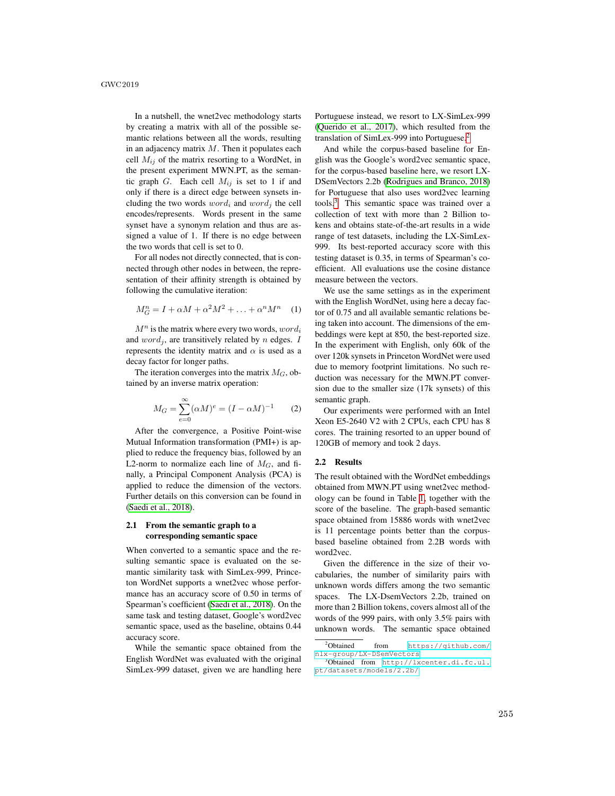In a nutshell, the wnet2vec methodology starts by creating a matrix with all of the possible semantic relations between all the words, resulting in an adjacency matrix  $M$ . Then it populates each cell  $M_{ij}$  of the matrix resorting to a WordNet, in the present experiment MWN.PT, as the semantic graph G. Each cell  $M_{ij}$  is set to 1 if and only if there is a direct edge between synsets including the two words  $word_i$  and  $word_j$  the cell encodes/represents. Words present in the same synset have a synonym relation and thus are assigned a value of 1. If there is no edge between the two words that cell is set to 0.

For all nodes not directly connected, that is connected through other nodes in between, the representation of their affinity strength is obtained by following the cumulative iteration:

$$
M_G^n = I + \alpha M + \alpha^2 M^2 + \ldots + \alpha^n M^n \quad (1)
$$

 $M^n$  is the matrix where every two words,  $word_i$ and  $word_i$ , are transitively related by n edges. I represents the identity matrix and  $\alpha$  is used as a decay factor for longer paths.

The iteration converges into the matrix  $M_G$ , obtained by an inverse matrix operation:

$$
M_G = \sum_{e=0}^{\infty} (\alpha M)^e = (I - \alpha M)^{-1}
$$
 (2)

After the convergence, a Positive Point-wise Mutual Information transformation (PMI+) is applied to reduce the frequency bias, followed by an L2-norm to normalize each line of  $M_G$ , and finally, a Principal Component Analysis (PCA) is applied to reduce the dimension of the vectors. Further details on this conversion can be found in (Saedi et al., 2018).

## 2.1 From the semantic graph to a corresponding semantic space

When converted to a semantic space and the resulting semantic space is evaluated on the semantic similarity task with SimLex-999, Princeton WordNet supports a wnet2vec whose performance has an accuracy score of 0.50 in terms of Spearman's coefficient (Saedi et al., 2018). On the same task and testing dataset, Google's word2vec semantic space, used as the baseline, obtains 0.44 accuracy score.

While the semantic space obtained from the English WordNet was evaluated with the original SimLex-999 dataset, given we are handling here

Portuguese instead, we resort to LX-SimLex-999 (Querido et al., 2017), which resulted from the translation of SimLex-999 into Portuguese. $\sqrt{2}$ 

And while the corpus-based baseline for English was the Google's word2vec semantic space, for the corpus-based baseline here, we resort LX-DSemVectors 2.2b (Rodrigues and Branco, 2018) for Portuguese that also uses word2vec learning tools $\left| \overline{\right|}$  This semantic space was trained over a collection of text with more than 2 Billion tokens and obtains state-of-the-art results in a wide range of test datasets, including the LX-SimLex-999. Its best-reported accuracy score with this testing dataset is 0.35, in terms of Spearman's coefficient. All evaluations use the cosine distance measure between the vectors.

We use the same settings as in the experiment with the English WordNet, using here a decay factor of 0.75 and all available semantic relations being taken into account. The dimensions of the embeddings were kept at 850, the best-reported size. In the experiment with English, only 60k of the over 120k synsets in Princeton WordNet were used due to memory footprint limitations. No such reduction was necessary for the MWN.PT conversion due to the smaller size (17k synsets) of this semantic graph.

Our experiments were performed with an Intel Xeon E5-2640 V2 with 2 CPUs, each CPU has 8 cores. The training resorted to an upper bound of 120GB of memory and took 2 days.

### 2.2 Results

The result obtained with the WordNet embeddings obtained from MWN.PT using wnet2vec methodology can be found in Table  $\prod$ , together with the score of the baseline. The graph-based semantic space obtained from 15886 words with wnet2vec is 11 percentage points better than the corpusbased baseline obtained from 2.2B words with word2vec.

Given the difference in the size of their vocabularies, the number of similarity pairs with unknown words differs among the two semantic spaces. The LX-DsemVectors 2.2b, trained on more than 2 Billion tokens, covers almost all of the words of the 999 pairs, with only 3.5% pairs with unknown words. The semantic space obtained

<sup>&</sup>lt;sup>2</sup>Obtained from https://github.com/ nlx-group/LX-DSemVectors <sup>3</sup>Obtained from http://lxcenter.di.fc.ul.

pt/datasets/models/2.2b/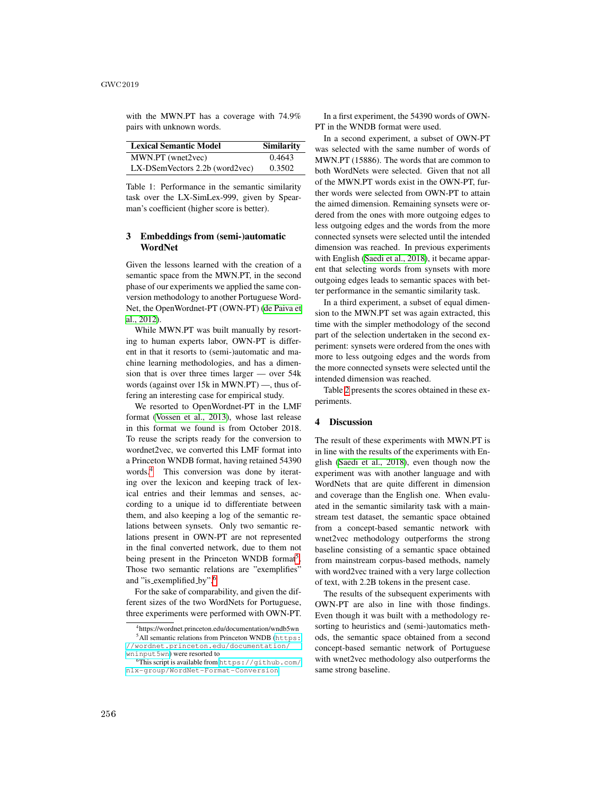with the MWN.PT has a coverage with 74.9% pairs with unknown words.

| <b>Lexical Semantic Model</b>           | <b>Similarity</b> |
|-----------------------------------------|-------------------|
| MWN.PT (wnet2vec)                       | 0.4643            |
| $LX\text{-}DSemVectors$ 2.2b (word2vec) | 0.3502            |

Table 1: Performance in the semantic similarity task over the LX-SimLex-999, given by Spearman's coefficient (higher score is better).

## 3 Embeddings from (semi-)automatic WordNet

Given the lessons learned with the creation of a semantic space from the MWN.PT, in the second phase of our experiments we applied the same conversion methodology to another Portuguese Word-Net, the OpenWordnet-PT (OWN-PT) (de Paiva et al., 2012).

While MWN.PT was built manually by resorting to human experts labor, OWN-PT is different in that it resorts to (semi-)automatic and machine learning methodologies, and has a dimension that is over three times larger — over 54k words (against over 15k in MWN.PT) —, thus offering an interesting case for empirical study.

We resorted to OpenWordnet-PT in the LMF format (Vossen et al., 2013), whose last release in this format we found is from October 2018. To reuse the scripts ready for the conversion to wordnet2vec, we converted this LMF format into a Princeton WNDB format, having retained 54390 words. $\frac{4}{1}$  This conversion was done by iterating over the lexicon and keeping track of lexical entries and their lemmas and senses, according to a unique id to differentiate between them, and also keeping a log of the semantic relations between synsets. Only two semantic relations present in OWN-PT are not represented in the final converted network, due to them not being present in the Princeton WNDB format<sup>5</sup>. Those two semantic relations are "exemplifies" and "is\_exemplified\_by".<sup>6</sup>

For the sake of comparability, and given the different sizes of the two WordNets for Portuguese, three experiments were performed with OWN-PT.

In a first experiment, the 54390 words of OWN-PT in the WNDB format were used.

In a second experiment, a subset of OWN-PT was selected with the same number of words of MWN.PT (15886). The words that are common to both WordNets were selected. Given that not all of the MWN.PT words exist in the OWN-PT, further words were selected from OWN-PT to attain the aimed dimension. Remaining synsets were ordered from the ones with more outgoing edges to less outgoing edges and the words from the more connected synsets were selected until the intended dimension was reached. In previous experiments with English (Saedi et al., 2018), it became apparent that selecting words from synsets with more outgoing edges leads to semantic spaces with better performance in the semantic similarity task.

In a third experiment, a subset of equal dimension to the MWN.PT set was again extracted, this time with the simpler methodology of the second part of the selection undertaken in the second experiment: synsets were ordered from the ones with more to less outgoing edges and the words from the more connected synsets were selected until the intended dimension was reached.

Table  $\sqrt{2}$  presents the scores obtained in these experiments.

## 4 Discussion

The result of these experiments with MWN.PT is in line with the results of the experiments with English (Saedi et al., 2018), even though now the experiment was with another language and with WordNets that are quite different in dimension and coverage than the English one. When evaluated in the semantic similarity task with a mainstream test dataset, the semantic space obtained from a concept-based semantic network with wnet2vec methodology outperforms the strong baseline consisting of a semantic space obtained from mainstream corpus-based methods, namely with word2vec trained with a very large collection of text, with 2.2B tokens in the present case.

The results of the subsequent experiments with OWN-PT are also in line with those findings. Even though it was built with a methodology resorting to heuristics and (semi-)automatics methods, the semantic space obtained from a second concept-based semantic network of Portuguese with wnet2vec methodology also outperforms the same strong baseline.

<sup>4</sup>https://wordnet.princeton.edu/documentation/wndb5wn  $<sup>5</sup>$ All semantic relations from Princeton WNDB (https:</sup> //wordnet.princeton.edu/documentation/ wninput5wn) were resorted to

This script is available from https://github.com/ nlx-group/WordNet-Format-Conversion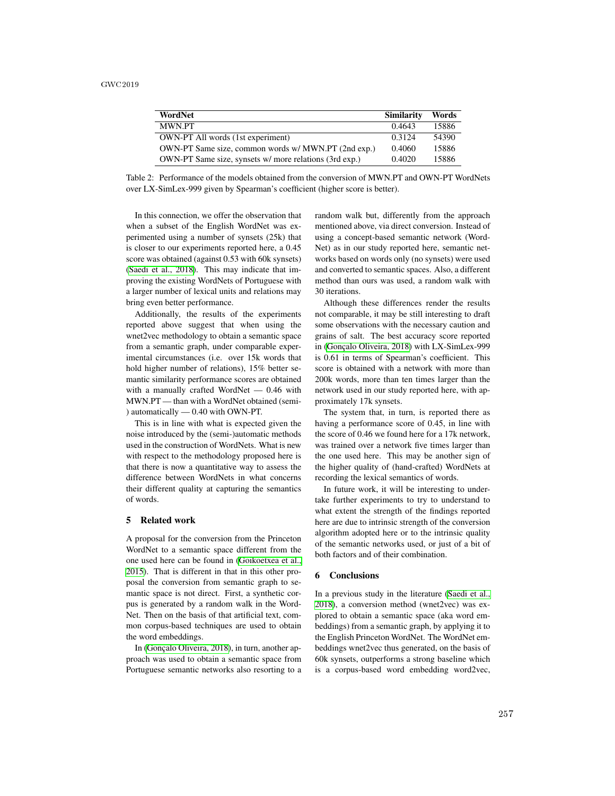| WordNet                                                | <b>Similarity</b> | Words |
|--------------------------------------------------------|-------------------|-------|
| <b>MWN PT</b>                                          | 0.4643            | 15886 |
| <b>OWN-PT All words (1st experiment)</b>               | 0.3124            | 54390 |
| OWN-PT Same size, common words w/ MWN.PT (2nd exp.)    | 0.4060            | 15886 |
| OWN-PT Same size, synsets w/ more relations (3rd exp.) | 0.4020            | 15886 |

Table 2: Performance of the models obtained from the conversion of MWN.PT and OWN-PT WordNets over LX-SimLex-999 given by Spearman's coefficient (higher score is better).

In this connection, we offer the observation that when a subset of the English WordNet was experimented using a number of synsets (25k) that is closer to our experiments reported here, a 0.45 score was obtained (against 0.53 with 60k synsets) (Saedi et al., 2018). This may indicate that improving the existing WordNets of Portuguese with a larger number of lexical units and relations may bring even better performance.

Additionally, the results of the experiments reported above suggest that when using the wnet2vec methodology to obtain a semantic space from a semantic graph, under comparable experimental circumstances (i.e. over 15k words that hold higher number of relations), 15% better semantic similarity performance scores are obtained with a manually crafted WordNet — 0.46 with MWN.PT — than with a WordNet obtained (semi- ) automatically — 0.40 with OWN-PT.

This is in line with what is expected given the noise introduced by the (semi-)automatic methods used in the construction of WordNets. What is new with respect to the methodology proposed here is that there is now a quantitative way to assess the difference between WordNets in what concerns their different quality at capturing the semantics of words.

## 5 Related work

A proposal for the conversion from the Princeton WordNet to a semantic space different from the one used here can be found in (Goikoetxea et al., 2015). That is different in that in this other proposal the conversion from semantic graph to semantic space is not direct. First, a synthetic corpus is generated by a random walk in the Word-Net. Then on the basis of that artificial text, common corpus-based techniques are used to obtain the word embeddings.

In (Gonçalo Oliveira, 2018), in turn, another approach was used to obtain a semantic space from Portuguese semantic networks also resorting to a random walk but, differently from the approach mentioned above, via direct conversion. Instead of using a concept-based semantic network (Word-Net) as in our study reported here, semantic networks based on words only (no synsets) were used and converted to semantic spaces. Also, a different method than ours was used, a random walk with 30 iterations.

Although these differences render the results not comparable, it may be still interesting to draft some observations with the necessary caution and grains of salt. The best accuracy score reported in (Gonçalo Oliveira, 2018) with LX-SimLex-999 is 0.61 in terms of Spearman's coefficient. This score is obtained with a network with more than 200k words, more than ten times larger than the network used in our study reported here, with approximately 17k synsets.

The system that, in turn, is reported there as having a performance score of 0.45, in line with the score of 0.46 we found here for a 17k network, was trained over a network five times larger than the one used here. This may be another sign of the higher quality of (hand-crafted) WordNets at recording the lexical semantics of words.

In future work, it will be interesting to undertake further experiments to try to understand to what extent the strength of the findings reported here are due to intrinsic strength of the conversion algorithm adopted here or to the intrinsic quality of the semantic networks used, or just of a bit of both factors and of their combination.

### 6 Conclusions

In a previous study in the literature (Saedi et al., 2018), a conversion method (wnet2vec) was explored to obtain a semantic space (aka word embeddings) from a semantic graph, by applying it to the English Princeton WordNet. The WordNet embeddings wnet2vec thus generated, on the basis of 60k synsets, outperforms a strong baseline which is a corpus-based word embedding word2vec,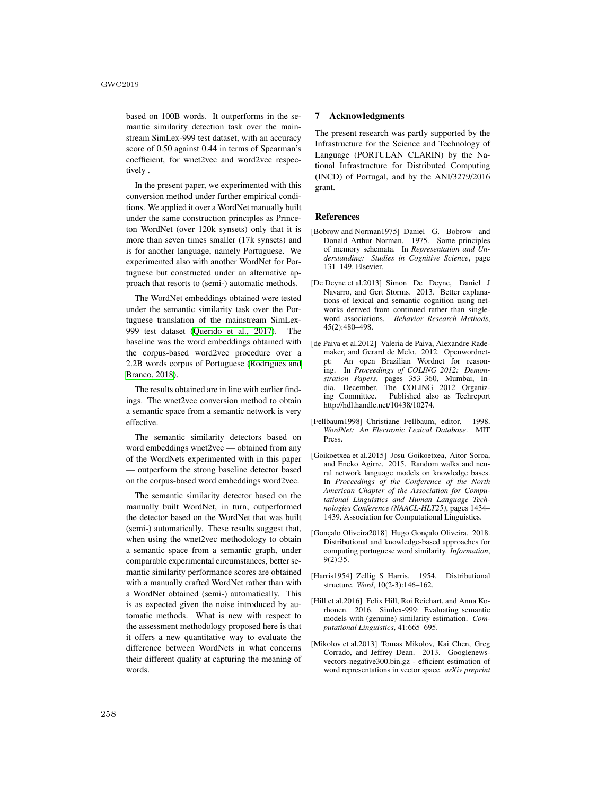based on 100B words. It outperforms in the semantic similarity detection task over the mainstream SimLex-999 test dataset, with an accuracy score of 0.50 against 0.44 in terms of Spearman's coefficient, for wnet2vec and word2vec respectively .

In the present paper, we experimented with this conversion method under further empirical conditions. We applied it over a WordNet manually built under the same construction principles as Princeton WordNet (over 120k synsets) only that it is more than seven times smaller (17k synsets) and is for another language, namely Portuguese. We experimented also with another WordNet for Portuguese but constructed under an alternative approach that resorts to (semi-) automatic methods.

The WordNet embeddings obtained were tested under the semantic similarity task over the Portuguese translation of the mainstream SimLex-999 test dataset (Querido et al., 2017). The baseline was the word embeddings obtained with the corpus-based word2vec procedure over a 2.2B words corpus of Portuguese (Rodrigues and Branco, 2018).

The results obtained are in line with earlier findings. The wnet2vec conversion method to obtain a semantic space from a semantic network is very effective.

The semantic similarity detectors based on word embeddings wnet2vec — obtained from any of the WordNets experimented with in this paper — outperform the strong baseline detector based on the corpus-based word embeddings word2vec.

The semantic similarity detector based on the manually built WordNet, in turn, outperformed the detector based on the WordNet that was built (semi-) automatically. These results suggest that, when using the wnet2vec methodology to obtain a semantic space from a semantic graph, under comparable experimental circumstances, better semantic similarity performance scores are obtained with a manually crafted WordNet rather than with a WordNet obtained (semi-) automatically. This is as expected given the noise introduced by automatic methods. What is new with respect to the assessment methodology proposed here is that it offers a new quantitative way to evaluate the difference between WordNets in what concerns their different quality at capturing the meaning of words.

### 7 Acknowledgments

The present research was partly supported by the Infrastructure for the Science and Technology of Language (PORTULAN CLARIN) by the National Infrastructure for Distributed Computing (INCD) of Portugal, and by the ANI/3279/2016 grant.

## References

- [Bobrow and Norman1975] Daniel G. Bobrow and Donald Arthur Norman. 1975. Some principles of memory schemata. In *Representation and Understanding: Studies in Cognitive Science*, page 131–149. Elsevier.
- [De Deyne et al.2013] Simon De Deyne, Daniel J Navarro, and Gert Storms. 2013. Better explanations of lexical and semantic cognition using networks derived from continued rather than singleword associations. *Behavior Research Methods*, 45(2):480–498.
- [de Paiva et al.2012] Valeria de Paiva, Alexandre Rademaker, and Gerard de Melo. 2012. Openwordnetpt: An open Brazilian Wordnet for reasoning. In *Proceedings of COLING 2012: Demonstration Papers*, pages 353–360, Mumbai, India, December. The COLING 2012 Organiz-<br>ing Committee. Published also as Techrenort Published also as Techreport http://hdl.handle.net/10438/10274.
- [Fellbaum1998] Christiane Fellbaum, editor. 1998. *WordNet: An Electronic Lexical Database*. MIT Press.
- [Goikoetxea et al.2015] Josu Goikoetxea, Aitor Soroa, and Eneko Agirre. 2015. Random walks and neural network language models on knowledge bases. In *Proceedings of the Conference of the North American Chapter of the Association for Computational Linguistics and Human Language Technologies Conference (NAACL-HLT25)*, pages 1434– 1439. Association for Computational Linguistics.
- [Gonçalo Oliveira2018] Hugo Gonçalo Oliveira. 2018. Distributional and knowledge-based approaches for computing portuguese word similarity. *Information*, 9(2):35.
- [Harris1954] Zellig S Harris. 1954. Distributional structure. *Word*, 10(2-3):146–162.
- [Hill et al.2016] Felix Hill, Roi Reichart, and Anna Korhonen. 2016. Simlex-999: Evaluating semantic models with (genuine) similarity estimation. *Computational Linguistics*, 41:665–695.
- [Mikolov et al.2013] Tomas Mikolov, Kai Chen, Greg Corrado, and Jeffrey Dean. 2013. Googlenewsvectors-negative300.bin.gz - efficient estimation of word representations in vector space. *arXiv preprint*